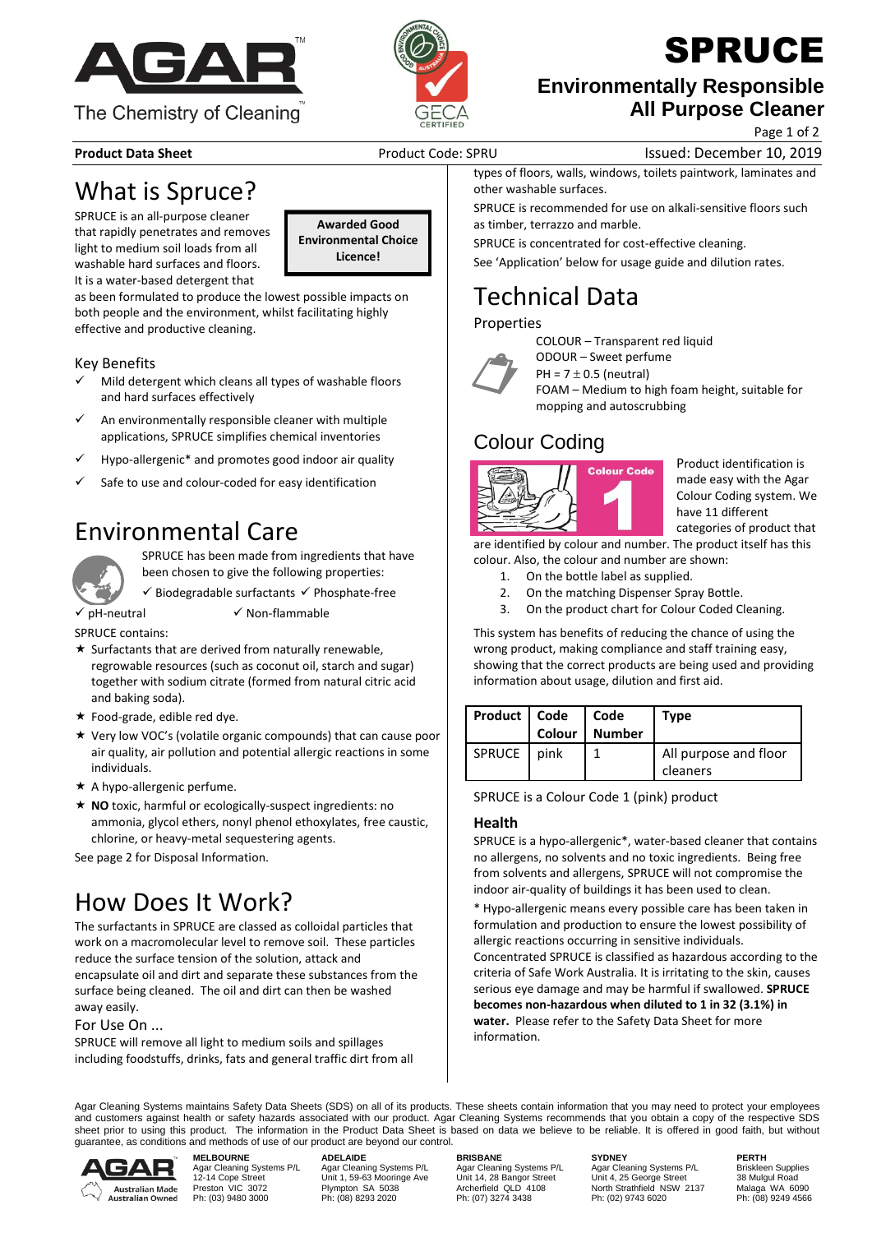



## SPRUCE

### **Environmentally Responsible All Purpose Cleaner**

Page 1 of 2

**Product Data Sheet** Product Code: SPRU Issued: December 10, 2019

## What is Spruce?

SPRUCE is an all-purpose cleaner that rapidly penetrates and removes light to medium soil loads from all washable hard surfaces and floors. It is a water-based detergent that

**Awarded Good Environmental Choice Licence!**

as been formulated to produce the lowest possible impacts on both people and the environment, whilst facilitating highly effective and productive cleaning.

### Key Benefits

- Mild detergent which cleans all types of washable floors and hard surfaces effectively
- An environmentally responsible cleaner with multiple applications, SPRUCE simplifies chemical inventories
- Hypo-allergenic<sup>\*</sup> and promotes good indoor air quality
- Safe to use and colour-coded for easy identification

## Environmental Care



SPRUCE has been made from ingredients that have been chosen to give the following properties:

✓ Biodegradable surfactants ✓ Phosphate-free

✓ pH-neutral ✓ Non-flammable

SPRUCE contains:

- $\star$  Surfactants that are derived from naturally renewable, regrowable resources (such as coconut oil, starch and sugar) together with sodium citrate (formed from natural citric acid and baking soda).
- $\star$  Food-grade, edible red dye.
- Very low VOC's (volatile organic compounds) that can cause poor air quality, air pollution and potential allergic reactions in some individuals.
- $\star$  A hypo-allergenic perfume.
- **NO** toxic, harmful or ecologically-suspect ingredients: no ammonia, glycol ethers, nonyl phenol ethoxylates, free caustic, chlorine, or heavy-metal sequestering agents.

See page 2 for Disposal Information.

## How Does It Work?

The surfactants in SPRUCE are classed as colloidal particles that work on a macromolecular level to remove soil. These particles reduce the surface tension of the solution, attack and encapsulate oil and dirt and separate these substances from the surface being cleaned. The oil and dirt can then be washed away easily.

For Use On ...

SPRUCE will remove all light to medium soils and spillages including foodstuffs, drinks, fats and general traffic dirt from all types of floors, walls, windows, toilets paintwork, laminates and other washable surfaces.

SPRUCE is recommended for use on alkali-sensitive floors such as timber, terrazzo and marble.

SPRUCE is concentrated for cost-effective cleaning.

See 'Application' below for usage guide and dilution rates.

COLOUR – Transparent red liquid

## Technical Data

### Properties



ODOUR – Sweet perfume PH =  $7 \pm 0.5$  (neutral) FOAM – Medium to high foam height, suitable for mopping and autoscrubbing

### Colour Coding



Product identification is made easy with the Agar Colour Coding system. We categories of product that

are identified by colour and number. The product itself has this colour. Also, the colour and number are shown:

- 1. On the bottle label as supplied.
- 2. On the matching Dispenser Spray Bottle.
- 3. On the product chart for Colour Coded Cleaning.

This system has benefits of reducing the chance of using the wrong product, making compliance and staff training easy, showing that the correct products are being used and providing information about usage, dilution and first aid.

| Product   Code   Code | Colour | <b>Number</b> | Type                              |
|-----------------------|--------|---------------|-----------------------------------|
| SPRUCE                | pink   |               | All purpose and floor<br>cleaners |

SPRUCE is a Colour Code 1 (pink) product

### **Health**

SPRUCE is a hypo-allergenic\*, water-based cleaner that contains no allergens, no solvents and no toxic ingredients. Being free from solvents and allergens, SPRUCE will not compromise the indoor air-quality of buildings it has been used to clean.

\* Hypo-allergenic means every possible care has been taken in formulation and production to ensure the lowest possibility of allergic reactions occurring in sensitive individuals.

Concentrated SPRUCE is classified as hazardous according to the criteria of Safe Work Australia. It is irritating to the skin, causes serious eye damage and may be harmful if swallowed. **SPRUCE becomes non-hazardous when diluted to 1 in 32 (3.1%) in water.** Please refer to the Safety Data Sheet for more information.

Agar Cleaning Systems maintains Safety Data Sheets (SDS) on all of its products. These sheets contain information that you may need to protect your employees and customers against health or safety hazards associated with our product. Agar Cleaning Systems recommends that you obtain a copy of the respective SDS sheet prior to using this product. The information in the Product Data Sheet is based on data we believe to be reliable. It is offered in good faith, but without guarantee, as conditions and methods of use of our product are beyond our control.



**MELBOURNE ADELAIDE BRISBANE SYDNEY PERTH** MELBOURNE ADELAIDE ADELAIDE BRISBANE SYDNEY PERTH<br>Agar Cleaning Systems P/L Agar Cleaning Systems P/L Agar Cleaning Systems P/L Agar Cleaning Systems P/L Briskleen Supplies<br>12-14 Cope Street Unit 1, 28 Bangor Street Unit 1 Phistophe Community Community of the Unit 1,59-63 Mooring Ave Unit 14, 28 Bangor Street Unit 1, 25 George Street 38 Mulgul Road<br>Preston VIC 3072 Plympton SA 5038 Archerfield QLD 4108 North Strathfield NSW 2137 Malaga WA 60

12-14 Cope Street Unit 1, 59-63 Mooringe Ave Unit 14, 28 Bangor Street Unit 4, 25 George Street 38 Mulgul Road Preston VIC 3072 Plympton SA 5038 Archerfield QLD 4108 North Strathfield NSW 2137 Malaga WA 6090

have 11 different